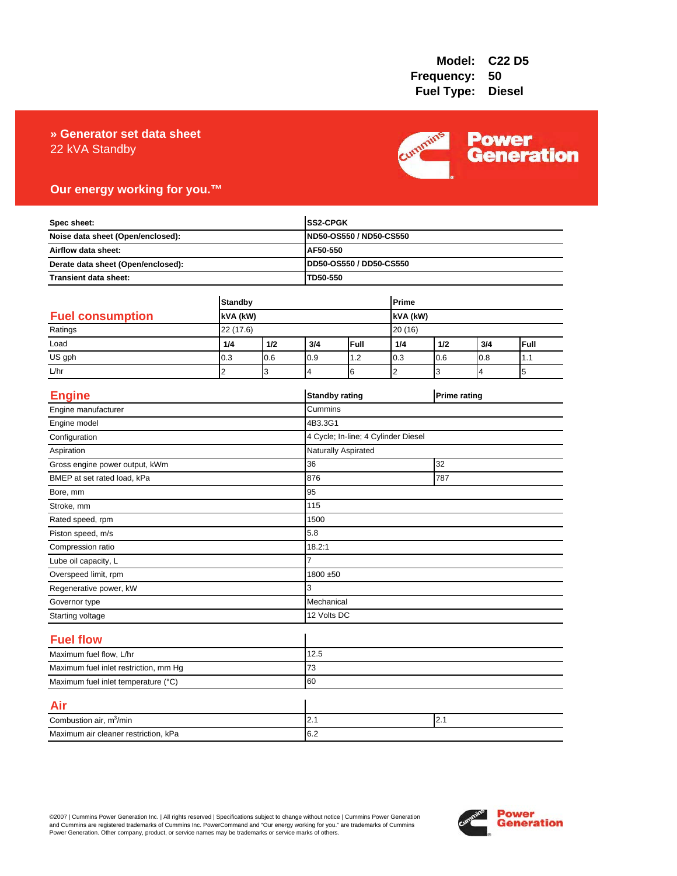### 22 kVA Standby **» Generator set data sheet**



### **Our energy working for you.™**

| Spec sheet:<br>Noise data sheet (Open/enclosed):<br>Airflow data sheet:<br>Derate data sheet (Open/enclosed): |                |       |                | SS2-CPGK                                                       |                |          |                     |      |  |
|---------------------------------------------------------------------------------------------------------------|----------------|-------|----------------|----------------------------------------------------------------|----------------|----------|---------------------|------|--|
|                                                                                                               |                |       |                | ND50-OS550 / ND50-CS550<br>AF50-550<br>DD50-OS550 / DD50-CS550 |                |          |                     |      |  |
|                                                                                                               |                |       |                |                                                                |                |          |                     |      |  |
|                                                                                                               |                |       |                |                                                                |                |          |                     |      |  |
| Transient data sheet:                                                                                         |                |       |                | TD50-550                                                       |                |          |                     |      |  |
|                                                                                                               |                |       |                |                                                                | Prime          |          |                     |      |  |
|                                                                                                               | <b>Standby</b> |       |                |                                                                |                |          |                     |      |  |
| <b>Fuel consumption</b>                                                                                       | kVA (kW)       |       |                |                                                                |                | kVA (kW) |                     |      |  |
| Ratings                                                                                                       | 22 (17.6)      |       |                |                                                                | 20 (16)        |          |                     |      |  |
| Load                                                                                                          | 1/4            | $1/2$ | 3/4            | Full                                                           | 1/4            | 1/2      | 3/4                 | Full |  |
| US gph                                                                                                        | 0.3            | 0.6   | 0.9            | 1.2                                                            | 0.3            | 0.6      | 0.8                 | 1.1  |  |
| L/hr                                                                                                          | $\overline{2}$ | 3     | 4              | 6                                                              | $\overline{2}$ | 3        | 4                   | 5    |  |
| <b>Engine</b>                                                                                                 |                |       |                | <b>Standby rating</b>                                          |                |          | <b>Prime rating</b> |      |  |
| Engine manufacturer                                                                                           |                |       | Cummins        |                                                                |                |          |                     |      |  |
| Engine model                                                                                                  |                |       |                | 4B3.3G1                                                        |                |          |                     |      |  |
| Configuration                                                                                                 |                |       |                | 4 Cycle; In-line; 4 Cylinder Diesel                            |                |          |                     |      |  |
| Aspiration                                                                                                    |                |       |                | Naturally Aspirated                                            |                |          |                     |      |  |
| Gross engine power output, kWm                                                                                |                |       | 36             |                                                                |                |          | 32                  |      |  |
| BMEP at set rated load, kPa                                                                                   |                |       | 876            | 787                                                            |                |          |                     |      |  |
| Bore, mm                                                                                                      |                |       | 95             |                                                                |                |          |                     |      |  |
| Stroke, mm                                                                                                    |                |       | 115            |                                                                |                |          |                     |      |  |
| Rated speed, rpm                                                                                              |                |       | 1500           |                                                                |                |          |                     |      |  |
| Piston speed, m/s                                                                                             |                |       | 5.8            |                                                                |                |          |                     |      |  |
| Compression ratio                                                                                             |                |       | 18.2:1         |                                                                |                |          |                     |      |  |
| Lube oil capacity, L                                                                                          |                |       | $\overline{7}$ |                                                                |                |          |                     |      |  |
| Overspeed limit, rpm                                                                                          |                |       | 1800 ±50       |                                                                |                |          |                     |      |  |
| Regenerative power, kW                                                                                        |                |       | 3              |                                                                |                |          |                     |      |  |
| Governor type                                                                                                 |                |       |                | Mechanical                                                     |                |          |                     |      |  |
| Starting voltage                                                                                              |                |       |                | 12 Volts DC                                                    |                |          |                     |      |  |
| <b>Fuel flow</b>                                                                                              |                |       |                |                                                                |                |          |                     |      |  |
| Maximum fuel flow, L/hr                                                                                       |                |       | 12.5           |                                                                |                |          |                     |      |  |
| Maximum fuel inlet restriction, mm Hg                                                                         |                |       | 73             |                                                                |                |          |                     |      |  |
| Maximum fuel inlet temperature (°C)                                                                           |                |       | 60             |                                                                |                |          |                     |      |  |
| Air                                                                                                           |                |       |                |                                                                |                |          |                     |      |  |
| Combustion air, m <sup>3</sup> /min                                                                           |                |       | 2.1<br>2.1     |                                                                |                |          |                     |      |  |
| Maximum air cleaner restriction, kPa                                                                          |                |       | 6.2            |                                                                |                |          |                     |      |  |

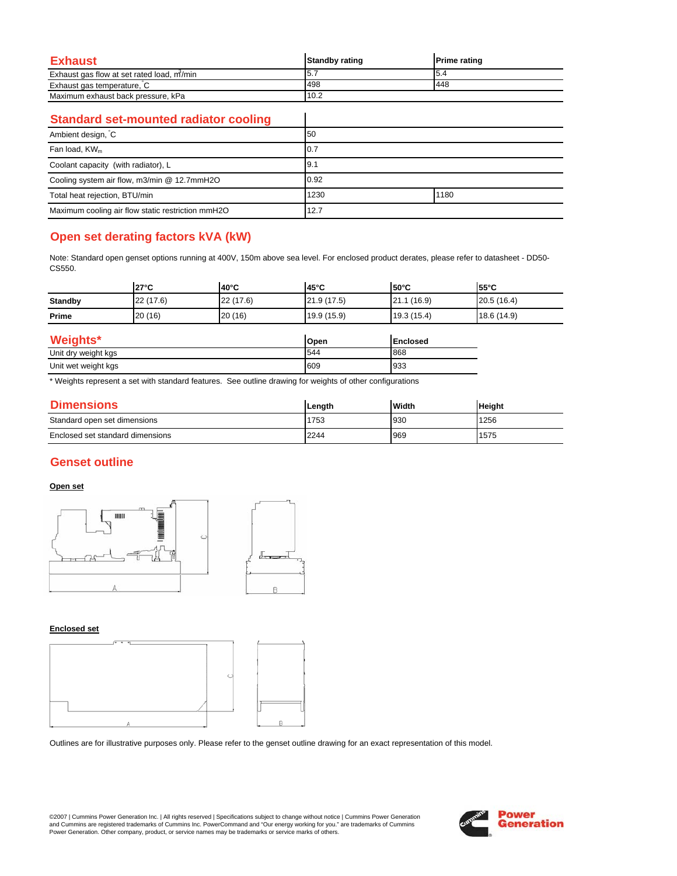| Exhaust                                   | <b>Standby rating</b> | <b>Prime rating</b> |
|-------------------------------------------|-----------------------|---------------------|
| Exhaust gas flow at set rated load, m/min | 5.7                   | I5.4                |
| Exhaust gas temperature, C                | 498                   | 448                 |
| Maximum exhaust back pressure, kPa        | 10.2                  |                     |

 $\overline{\phantom{a}}$ 

### **Standard set-mounted radiator cooling**

| Ambient design, C                                 | 50   |      |
|---------------------------------------------------|------|------|
| Fan load, KW <sub>m</sub>                         | 10.7 |      |
| Coolant capacity (with radiator), L               | 9.1  |      |
| Cooling system air flow, m3/min @ 12.7mmH2O       | 0.92 |      |
| Total heat rejection, BTU/min                     | 1230 | 1180 |
| Maximum cooling air flow static restriction mmH2O | 12.7 |      |

# **Open set derating factors kVA (kW)**

Note: Standard open genset options running at 400V, 150m above sea level. For enclosed product derates, please refer to datasheet - DD50- CS550.

|                     | $27^{\circ}$ C | 40°C      | 45°C        | <b>50°C</b>     | $55^{\circ}$ C |
|---------------------|----------------|-----------|-------------|-----------------|----------------|
| <b>Standby</b>      | 22 (17.6)      | 22 (17.6) | 21.9(17.5)  | 21.1 (16.9)     | 20.5(16.4)     |
| Prime               | 20 (16)        | 20 (16)   | 19.9 (15.9) | 19.3(15.4)      | 18.6 (14.9)    |
| Weights*            |                |           | Open        | <b>Enclosed</b> |                |
| Unit dry weight kgs |                |           | 544         | 868             |                |

Unit wet weight kgs 933 609

\* Weights represent a set with standard features. See outline drawing for weights of other configurations

| <b>Dimensions</b>                | Length | Width | <b>Height</b> |
|----------------------------------|--------|-------|---------------|
| Standard open set dimensions     | 1753   | 930   | 1256          |
| Enclosed set standard dimensions | 2244   | 969   | 1575          |

## **Genset outline**

#### **Open set**



#### **Enclosed set**



Outlines are for illustrative purposes only. Please refer to the genset outline drawing for an exact representation of this model.

©2007 | Cummins Power Generation Inc. | All rights reserved | Specifications subject to change without notice | Cummins Power Generation and Cummins are registered trademarks of Cummins Inc. PowerCommand and "Our energy working for you." are trademarks of Cummins<br>Power Generation. Other company, product, or service names may be trademarks or service marks o